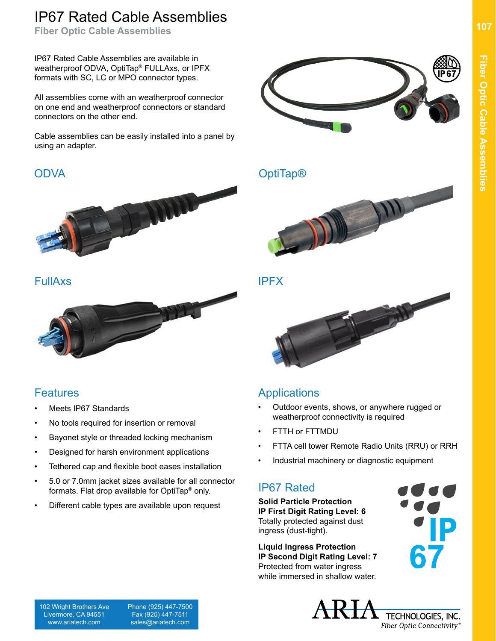**Fiber Optic Cable Assemblies**

IP67 Rated Cable Assemblies are available in weatherproof ODVA, OptiTap® FULLAxs, or IPFX formats with SC, LC or MPO connector types.

All assemblies come with an weatherproof connector on one end and weatherproof connectors or standard connectors on the other end.

Cable assemblies can be easily installed into a panel by using an adapter.

#### ODVA OptiTap®



#### FullAxs IPFX



#### **Features**

- Meets IP67 Standards
- No tools required for insertion or removal
- Bayonet style or threaded locking mechanism
- Designed for harsh environment applications
- Tethered cap and flexible boot eases installation
- 5.0 or 7.0mm jacket sizes available for all connector formats. Flat drop available for OptiTap® only.
- Different cable types are available upon request



**Fiber Optic Cable Assemblies**

Fiber Optic Cable Assemblies







## **Applications**

- Outdoor events, shows, or anywhere rugged or weatherproof connectivity is required
- **FTTH or FTTMDU**
- FTTA cell tower Remote Radio Units (RRU) or RRH
- Industrial machinery or diagnostic equipment

### IP67 Rated

**Solid Particle Protection IP First Digit Rating Level: 6** Totally protected against dust ingress (dust-tight).

**Liquid Ingress Protection IP Second Digit Rating Level: 7** Protected from water ingress while immersed in shallow water.





 Phone (925) 447-7500 Fax (925) 447-7511 sales@ariatech.com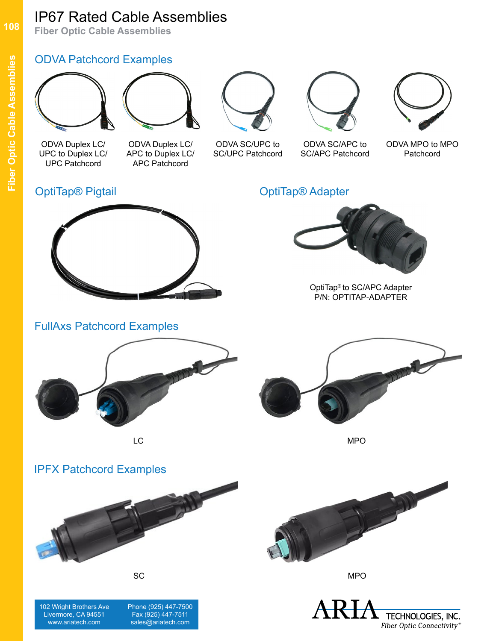**Fiber Optic Cable Assemblies**

## ODVA Patchcord Examples



ODVA Duplex LC/ UPC to Duplex LC/ UPC Patchcord

ODVA Duplex LC/ APC to Duplex LC/

APC Patchcord



ODVA SC/UPC to SC/UPC Patchcord



ODVA SC/APC to SC/APC Patchcord

OptiTap® Adapter



ODVA MPO to MPO **Patchcord** 

## OptiTap® Pigtail

OptiTap® to SC/APC Adapter P/N: OPTITAP-ADAPTER

# FullAxs Patchcord Examples







LC MPO

## IPFX Patchcord Examples



102 Wright Brothers Ave Livermore, CA 94551 www.ariatech.com

 Phone (925) 447-7500 Fax (925) 447-7511 sales@ariatech.com







**108**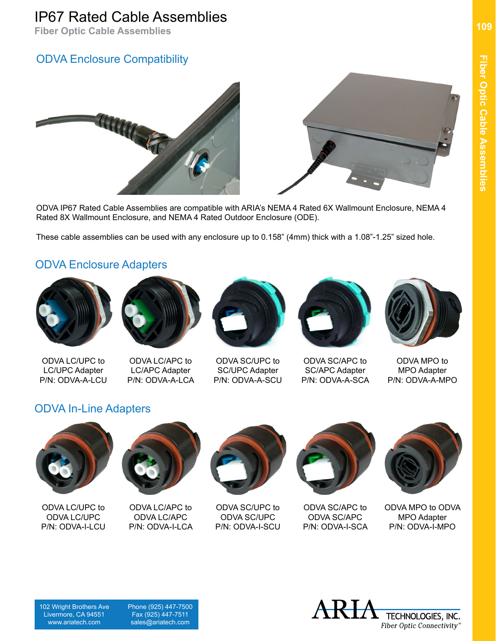**Fiber Optic Cable Assemblies**

## ODVA Enclosure Compatibility



ODVA IP67 Rated Cable Assemblies are compatible with ARIA's NEMA 4 Rated 6X Wallmount Enclosure, NEMA 4 Rated 8X Wallmount Enclosure, and NEMA 4 Rated Outdoor Enclosure (ODE).

These cable assemblies can be used with any enclosure up to 0.158" (4mm) thick with a 1.08"-1.25" sized hole.

#### ODVA Enclosure Adapters



ODVA LC/UPC to LC/UPC Adapter P/N: ODVA-A-LCU



ODVA LC/APC to LC/APC Adapter P/N: ODVA-A-LCA



ODVA SC/UPC to SC/UPC Adapter P/N: ODVA-A-SCU



ODVA SC/APC to SC/APC Adapter P/N: ODVA-A-SCA



ODVA MPO to MPO Adapter P/N: ODVA-A-MPO

#### ODVA In-Line Adapters



ODVA LC/UPC to ODVA LC/UPC P/N: ODVA-I-LCU



ODVA LC/APC to ODVA LC/APC P/N: ODVA-I-LCA



ODVA SC/UPC to ODVA SC/UPC P/N: ODVA-I-SCU



ODVA SC/APC to ODVA SC/APC P/N: ODVA-I-SCA



ODVA MPO to ODVA MPO Adapter P/N: ODVA-I-MPO

**109**

 Phone (925) 447-7500 Fax (925) 447-7511 sales@ariatech.com